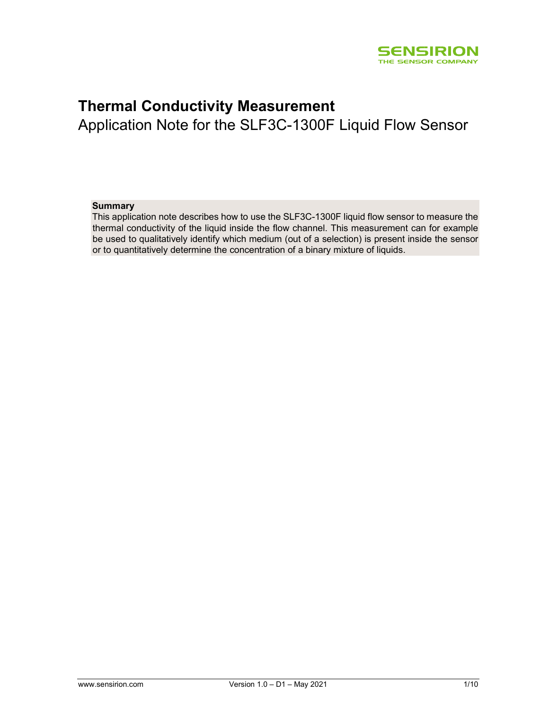

# Thermal Conductivity Measurement

Application Note for the SLF3C-1300F Liquid Flow Sensor

## Summary

This application note describes how to use the SLF3C-1300F liquid flow sensor to measure the thermal conductivity of the liquid inside the flow channel. This measurement can for example be used to qualitatively identify which medium (out of a selection) is present inside the sensor or to quantitatively determine the concentration of a binary mixture of liquids.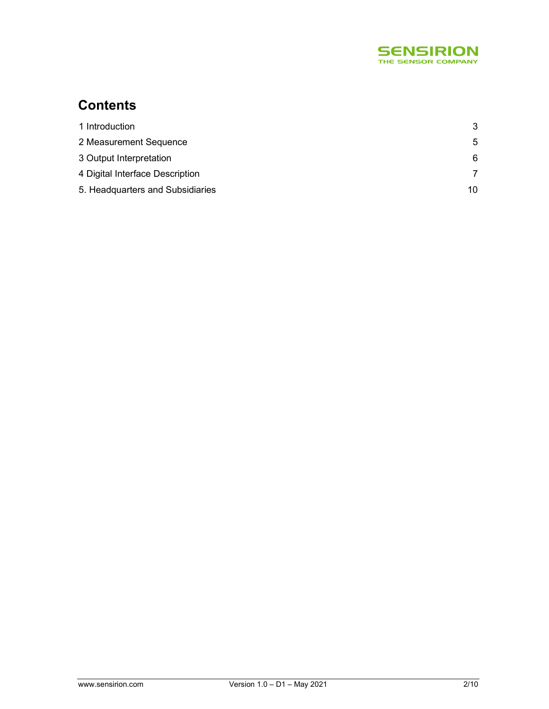

# **Contents**

| 1 Introduction                   | 3  |
|----------------------------------|----|
| 2 Measurement Sequence           | .5 |
| 3 Output Interpretation          | 6. |
| 4 Digital Interface Description  |    |
| 5. Headquarters and Subsidiaries | 10 |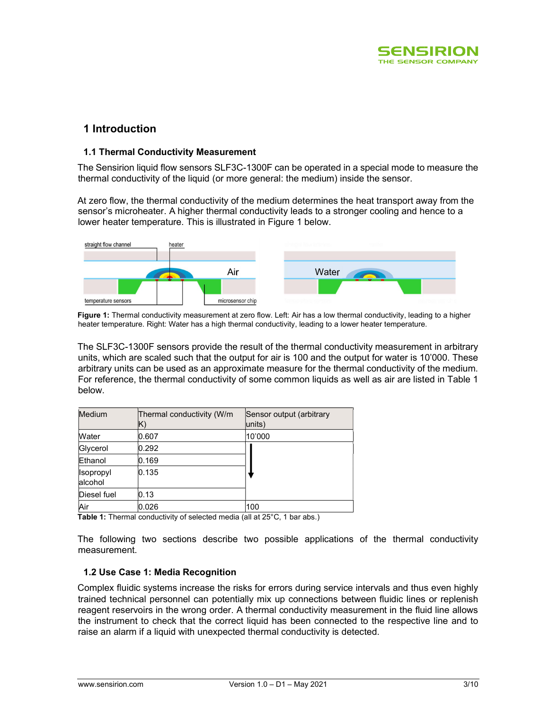

# 1 Introduction

# 1.1 Thermal Conductivity Measurement

The Sensirion liquid flow sensors SLF3C-1300F can be operated in a special mode to measure the thermal conductivity of the liquid (or more general: the medium) inside the sensor.

At zero flow, the thermal conductivity of the medium determines the heat transport away from the sensor's microheater. A higher thermal conductivity leads to a stronger cooling and hence to a lower heater temperature. This is illustrated in Figure 1 below.



Figure 1: Thermal conductivity measurement at zero flow. Left: Air has a low thermal conductivity, leading to a higher heater temperature. Right: Water has a high thermal conductivity, leading to a lower heater temperature.

The SLF3C-1300F sensors provide the result of the thermal conductivity measurement in arbitrary units, which are scaled such that the output for air is 100 and the output for water is 10'000. These arbitrary units can be used as an approximate measure for the thermal conductivity of the medium. For reference, the thermal conductivity of some common liquids as well as air are listed in Table 1 below.

| Medium               | Thermal conductivity (W/m | Sensor output (arbitrary<br>units) |
|----------------------|---------------------------|------------------------------------|
| Water                | 0.607                     | 10'000                             |
| Glycerol             | 0.292                     |                                    |
| Ethanol              | 0.169                     |                                    |
| Isopropyl<br>alcohol | 0.135                     |                                    |
| Diesel fuel          | 0.13                      |                                    |
| Air                  | 0.026                     | 100                                |

Table 1: Thermal conductivity of selected media (all at 25°C, 1 bar abs.)

The following two sections describe two possible applications of the thermal conductivity measurement.

## 1.2 Use Case 1: Media Recognition

Complex fluidic systems increase the risks for errors during service intervals and thus even highly trained technical personnel can potentially mix up connections between fluidic lines or replenish reagent reservoirs in the wrong order. A thermal conductivity measurement in the fluid line allows the instrument to check that the correct liquid has been connected to the respective line and to raise an alarm if a liquid with unexpected thermal conductivity is detected.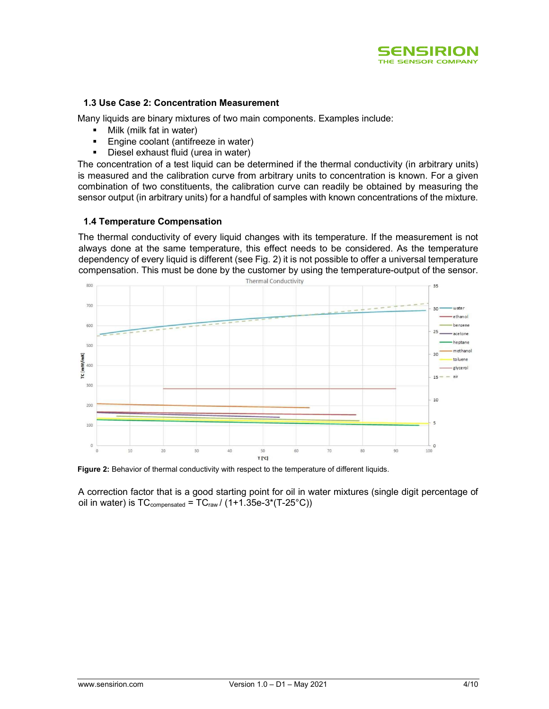

# 1.3 Use Case 2: Concentration Measurement

Many liquids are binary mixtures of two main components. Examples include:

- Milk (milk fat in water)
- **Engine coolant (antifreeze in water)**
- **Diesel exhaust fluid (urea in water)**

The concentration of a test liquid can be determined if the thermal conductivity (in arbitrary units) is measured and the calibration curve from arbitrary units to concentration is known. For a given combination of two constituents, the calibration curve can readily be obtained by measuring the sensor output (in arbitrary units) for a handful of samples with known concentrations of the mixture.

# 1.4 Temperature Compensation

The thermal conductivity of every liquid changes with its temperature. If the measurement is not always done at the same temperature, this effect needs to be considered. As the temperature dependency of every liquid is different (see Fig. 2) it is not possible to offer a universal temperature compensation. This must be done by the customer by using the temperature-output of the sensor.



Figure 2: Behavior of thermal conductivity with respect to the temperature of different liquids.

A correction factor that is a good starting point for oil in water mixtures (single digit percentage of oil in water) is  $TC_{\text{compensated}} = TC_{\text{raw}} / (1+1.35e-3*(T-25°C))$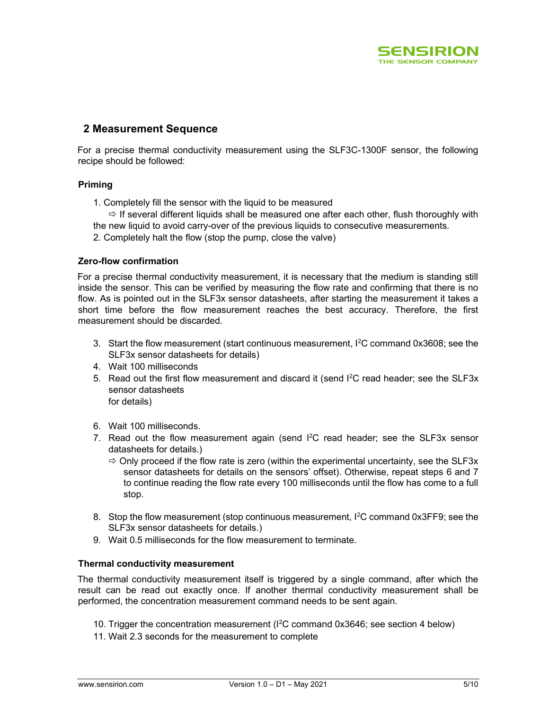

# 2 Measurement Sequence

For a precise thermal conductivity measurement using the SLF3C-1300F sensor, the following recipe should be followed:

# Priming

1. Completely fill the sensor with the liquid to be measured

 $\Rightarrow$  If several different liquids shall be measured one after each other, flush thoroughly with the new liquid to avoid carry-over of the previous liquids to consecutive measurements.

2. Completely halt the flow (stop the pump, close the valve)

# Zero-flow confirmation

For a precise thermal conductivity measurement, it is necessary that the medium is standing still inside the sensor. This can be verified by measuring the flow rate and confirming that there is no flow. As is pointed out in the SLF3x sensor datasheets, after starting the measurement it takes a short time before the flow measurement reaches the best accuracy. Therefore, the first measurement should be discarded.

- 3. Start the flow measurement (start continuous measurement, I<sup>2</sup>C command 0x3608; see the SLF3x sensor datasheets for details)
- 4. Wait 100 milliseconds
- 5. Read out the first flow measurement and discard it (send  $1^2C$  read header; see the SLF3x sensor datasheets for details)

- 6. Wait 100 milliseconds.
- 7. Read out the flow measurement again (send  $I^2C$  read header; see the SLF3x sensor datasheets for details.)
	- $\Rightarrow$  Only proceed if the flow rate is zero (within the experimental uncertainty, see the SLF3x sensor datasheets for details on the sensors' offset). Otherwise, repeat steps 6 and 7 to continue reading the flow rate every 100 milliseconds until the flow has come to a full stop.
- 8. Stop the flow measurement (stop continuous measurement, I<sup>2</sup>C command 0x3FF9; see the SLF3x sensor datasheets for details.)
- 9. Wait 0.5 milliseconds for the flow measurement to terminate.

# Thermal conductivity measurement

The thermal conductivity measurement itself is triggered by a single command, after which the result can be read out exactly once. If another thermal conductivity measurement shall be performed, the concentration measurement command needs to be sent again.

- 10. Trigger the concentration measurement (I<sup>2</sup>C command 0x3646; see section 4 below)
- 11. Wait 2.3 seconds for the measurement to complete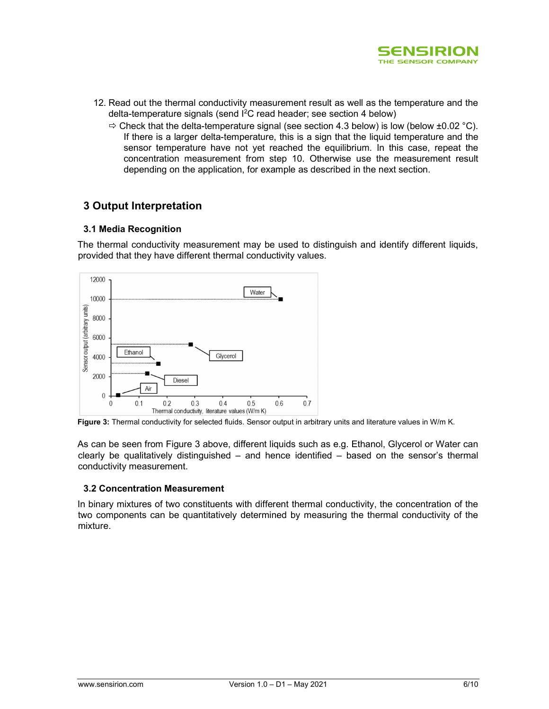

- 12. Read out the thermal conductivity measurement result as well as the temperature and the delta-temperature signals (send I<sup>2</sup>C read header; see section 4 below)
	- $\Rightarrow$  Check that the delta-temperature signal (see section 4.3 below) is low (below ±0.02 °C). If there is a larger delta-temperature, this is a sign that the liquid temperature and the sensor temperature have not yet reached the equilibrium. In this case, repeat the concentration measurement from step 10. Otherwise use the measurement result depending on the application, for example as described in the next section.

# 3 Output Interpretation

# 3.1 Media Recognition

The thermal conductivity measurement may be used to distinguish and identify different liquids, provided that they have different thermal conductivity values.



Figure 3: Thermal conductivity for selected fluids. Sensor output in arbitrary units and literature values in W/m K.

As can be seen from Figure 3 above, different liquids such as e.g. Ethanol, Glycerol or Water can clearly be qualitatively distinguished – and hence identified – based on the sensor's thermal conductivity measurement.

## 3.2 Concentration Measurement

In binary mixtures of two constituents with different thermal conductivity, the concentration of the two components can be quantitatively determined by measuring the thermal conductivity of the mixture.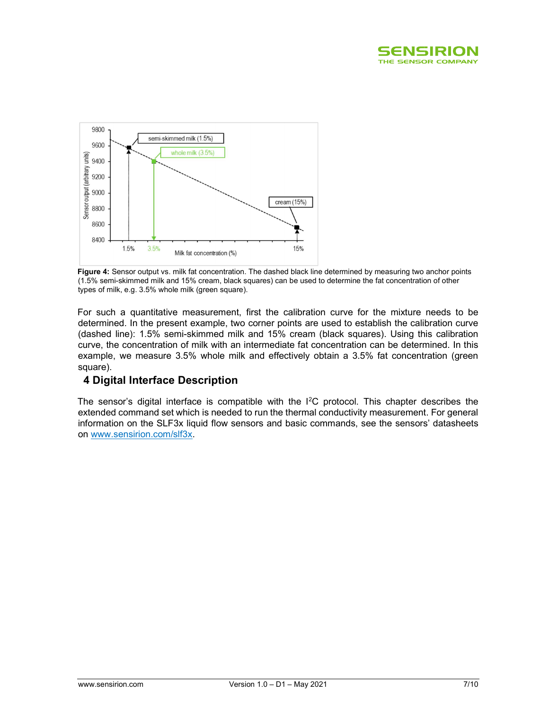



Figure 4: Sensor output vs. milk fat concentration. The dashed black line determined by measuring two anchor points (1.5% semi-skimmed milk and 15% cream, black squares) can be used to determine the fat concentration of other types of milk, e.g. 3.5% whole milk (green square).

For such a quantitative measurement, first the calibration curve for the mixture needs to be determined. In the present example, two corner points are used to establish the calibration curve (dashed line): 1.5% semi-skimmed milk and 15% cream (black squares). Using this calibration curve, the concentration of milk with an intermediate fat concentration can be determined. In this example, we measure 3.5% whole milk and effectively obtain a 3.5% fat concentration (green square).

# 4 Digital Interface Description

The sensor's digital interface is compatible with the  $I^2C$  protocol. This chapter describes the extended command set which is needed to run the thermal conductivity measurement. For general information on the SLF3x liquid flow sensors and basic commands, see the sensors' datasheets on www.sensirion.com/slf3x.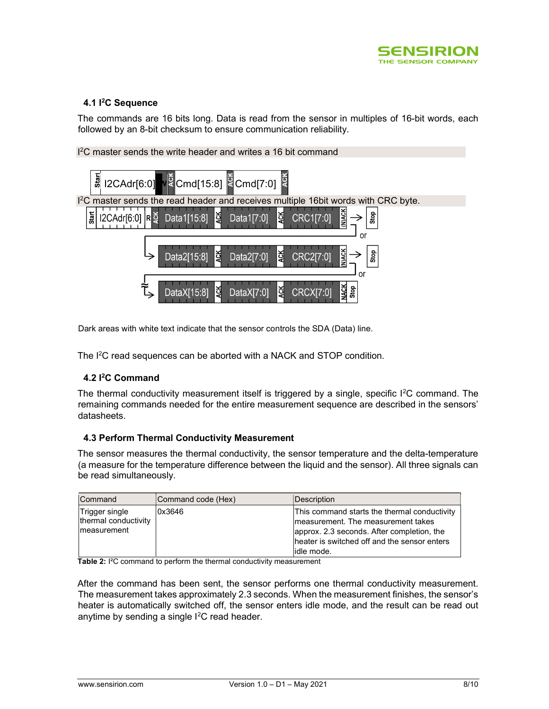

# 4.1 <sup>2</sup>C Sequence

The commands are 16 bits long. Data is read from the sensor in multiples of 16-bit words, each followed by an 8-bit checksum to ensure communication reliability.

<sup>2</sup>C master sends the write header and writes a 16 bit command  $\frac{1}{6}$  I2CAdr[6:0] W Cmd[15:8] Cmd[7:0] <sup>12</sup>C master sends the read header and receives multiple 16bit words with CRC byte. Start Stop I2CAdr[6:0] RĎ Data1[15:8] Data1[7:0] **CRC1[7:0]** Data2[15:8] Data2[7:0] ই CRC2[7:0] Stop DataX[15:8] DataX<sub>[7:0</sub>] CRCXI7:0

Dark areas with white text indicate that the sensor controls the SDA (Data) line.

The I<sup>2</sup>C read sequences can be aborted with a NACK and STOP condition.

## 4.2 I<sup>2</sup>C Command

The thermal conductivity measurement itself is triggered by a single, specific  $1^2C$  command. The remaining commands needed for the entire measurement sequence are described in the sensors' datasheets.

## 4.3 Perform Thermal Conductivity Measurement

The sensor measures the thermal conductivity, the sensor temperature and the delta-temperature (a measure for the temperature difference between the liquid and the sensor). All three signals can be read simultaneously.

| Command                                                | Command code (Hex) | Description                                                                                                                                                                                      |
|--------------------------------------------------------|--------------------|--------------------------------------------------------------------------------------------------------------------------------------------------------------------------------------------------|
| Trigger single<br>thermal conductivity<br>Imeasurement | 0x3646             | This command starts the thermal conductivity<br>Imeasurement. The measurement takes<br>approx. 2.3 seconds. After completion, the<br>heater is switched off and the sensor enters<br>lidle mode. |

Table 2: I<sup>2</sup>C command to perform the thermal conductivity measurement

After the command has been sent, the sensor performs one thermal conductivity measurement. The measurement takes approximately 2.3 seconds. When the measurement finishes, the sensor's heater is automatically switched off, the sensor enters idle mode, and the result can be read out anytime by sending a single  $1^2C$  read header.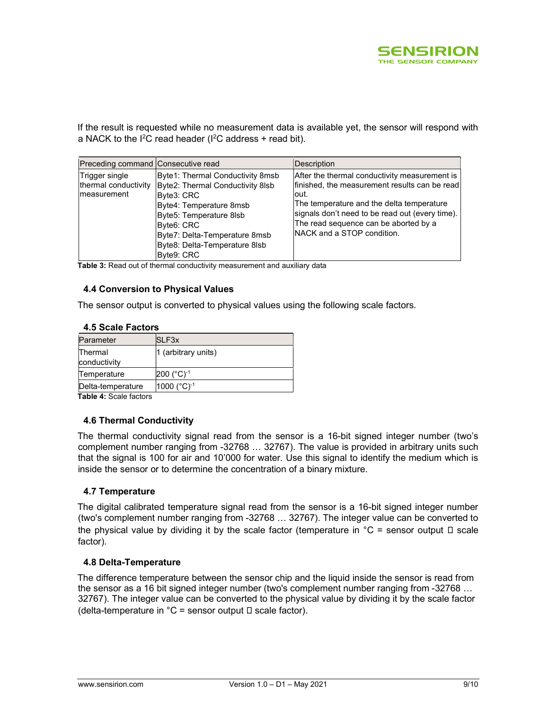

If the result is requested while no measurement data is available yet, the sensor will respond with a NACK to the  $I^2C$  read header ( $I^2C$  address + read bit).

| Preceding command Consecutive read                     |                                                                                                                                                                                                                                        | Description                                                                                                                                                                                                                                                                           |
|--------------------------------------------------------|----------------------------------------------------------------------------------------------------------------------------------------------------------------------------------------------------------------------------------------|---------------------------------------------------------------------------------------------------------------------------------------------------------------------------------------------------------------------------------------------------------------------------------------|
| Trigger single<br>thermal conductivity<br>Imeasurement | Byte1: Thermal Conductivity 8msb<br>Byte2: Thermal Conductivity 8lsb<br>Byte3: CRC<br>Byte4: Temperature 8msb<br>Byte5: Temperature 8lsb<br>Byte6: CRC<br>Byte7: Delta-Temperature 8msb<br>Byte8: Delta-Temperature 8lsb<br>Byte9: CRC | After the thermal conductivity measurement is<br>finished, the measurement results can be read<br>lout.<br>The temperature and the delta temperature<br>signals don't need to be read out (every time).<br>The read sequence can be aborted by a<br><b>NACK</b> and a STOP condition. |

Table 3: Read out of thermal conductivity measurement and auxiliary data

## 4.4 Conversion to Physical Values

The sensor output is converted to physical values using the following scale factors.

# 4.5 Scale Factors

| Parameter               | SLF3x                    |
|-------------------------|--------------------------|
| Thermal<br>conductivity | 1 (arbitrary units)      |
| Temperature             | $200$ (°C) <sup>-1</sup> |
| Delta-temperature       | 1000 (°C)-1              |

Table 4: Scale factors

## 4.6 Thermal Conductivity

The thermal conductivity signal read from the sensor is a 16-bit signed integer number (two's complement number ranging from -32768 … 32767). The value is provided in arbitrary units such that the signal is 100 for air and 10'000 for water. Use this signal to identify the medium which is inside the sensor or to determine the concentration of a binary mixture.

## 4.7 Temperature

The digital calibrated temperature signal read from the sensor is a 16-bit signed integer number (two's complement number ranging from -32768 … 32767). The integer value can be converted to the physical value by dividing it by the scale factor (temperature in  ${}^{\circ}C$  = sensor output  $\Box$  scale factor).

## 4.8 Delta-Temperature

The difference temperature between the sensor chip and the liquid inside the sensor is read from the sensor as a 16 bit signed integer number (two's complement number ranging from -32768 … 32767). The integer value can be converted to the physical value by dividing it by the scale factor (delta-temperature in  $°C =$  sensor output  $\square$  scale factor).